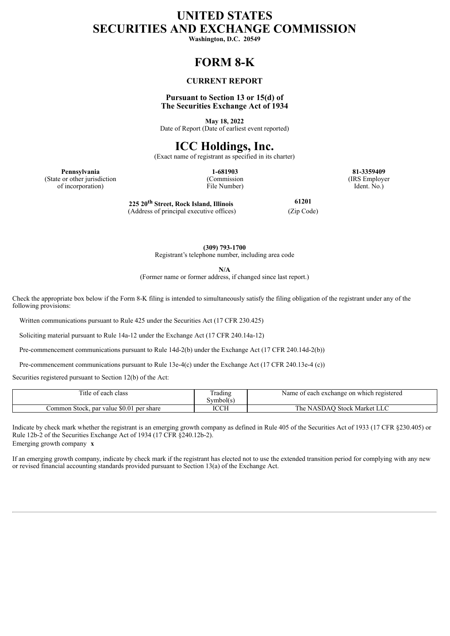# **UNITED STATES SECURITIES AND EXCHANGE COMMISSION**

**Washington, D.C. 20549**

## **FORM 8-K**

### **CURRENT REPORT**

### **Pursuant to Section 13 or 15(d) of The Securities Exchange Act of 1934**

**May 18, 2022** Date of Report (Date of earliest event reported)

### **ICC Holdings, Inc.**

(Exact name of registrant as specified in its charter)

**Pennsylvania 1-681903 81-3359409** (State or other jurisdiction of incorporation)

(Commission File Number) (IRS Employer Ident. No.)

**225 20 th Street, Rock Island, Illinois** (Address of principal executive offices) (Zip Code)

**61201**

**(309) 793-1700** Registrant's telephone number, including area code

**N/A**

(Former name or former address, if changed since last report.)

Check the appropriate box below if the Form 8-K filing is intended to simultaneously satisfy the filing obligation of the registrant under any of the following provisions:

Written communications pursuant to Rule 425 under the Securities Act (17 CFR 230.425)

Soliciting material pursuant to Rule 14a-12 under the Exchange Act (17 CFR 240.14a-12)

Pre-commencement communications pursuant to Rule 14d-2(b) under the Exchange Act (17 CFR 240.14d-2(b))

Pre-commencement communications pursuant to Rule 13e-4(c) under the Exchange Act (17 CFR 240.13e-4 (c))

Securities registered pursuant to Section 12(b) of the Act:

| Title of each class                         | --<br>rading<br>symbol(s | Name of each exchange on which registered |
|---------------------------------------------|--------------------------|-------------------------------------------|
| Common Stock, par value \$0.01<br>per share | <b>ICCH</b>              | The.<br><b>NASDAO Stock Market LLC</b>    |

Indicate by check mark whether the registrant is an emerging growth company as defined in Rule 405 of the Securities Act of 1933 (17 CFR §230.405) or Rule 12b-2 of the Securities Exchange Act of 1934 (17 CFR §240.12b-2). Emerging growth company **x**

If an emerging growth company, indicate by check mark if the registrant has elected not to use the extended transition period for complying with any new or revised financial accounting standards provided pursuant to Section 13(a) of the Exchange Act.